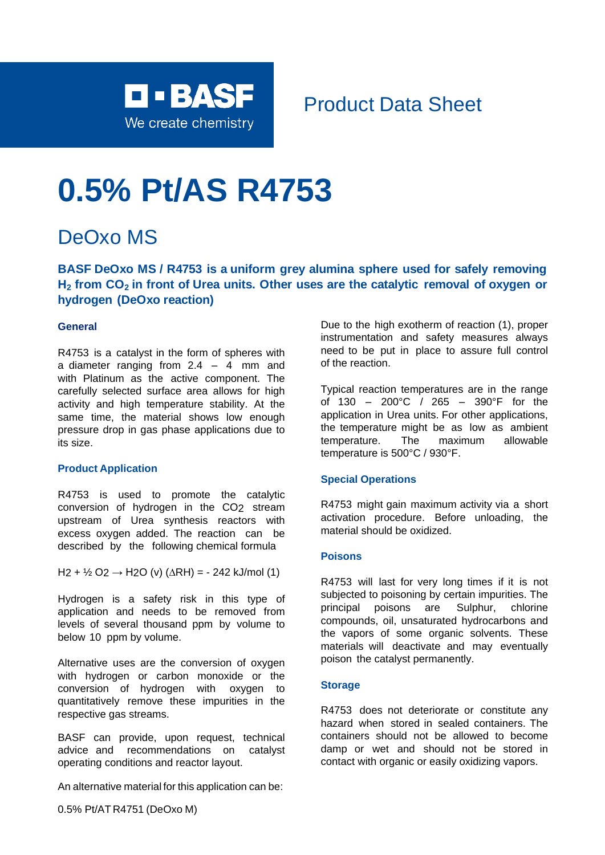

# Product Data Sheet

# **0.5% Pt/AS R4753**

# DeOxo MS

**BASF DeOxo MS / R4753 is a uniform grey alumina sphere used for safely removing H<sup>2</sup> from CO<sup>2</sup> in front of Urea units. Other uses are the catalytic removal of oxygen or hydrogen (DeOxo reaction)**

# **General**

R4753 is a catalyst in the form of spheres with a diameter ranging from  $2.4 - 4$  mm and with Platinum as the active component. The carefully selected surface area allows for high activity and high temperature stability. At the same time, the material shows low enough pressure drop in gas phase applications due to its size.

### **Product Application**

R4753 is used to promote the catalytic conversion of hydrogen in the CO2 stream upstream of Urea synthesis reactors with excess oxygen added. The reaction can be described by the following chemical formula

H<sub>2</sub> + ½ O<sub>2</sub> → H<sub>2</sub>O (v) ( $\triangle$ RH) = - 242 kJ/mol (1)

Hydrogen is a safety risk in this type of application and needs to be removed from levels of several thousand ppm by volume to below 10 ppm by volume.

Alternative uses are the conversion of oxygen with hydrogen or carbon monoxide or the conversion of hydrogen with oxygen to quantitatively remove these impurities in the respective gas streams.

BASF can provide, upon request, technical advice and recommendations on catalyst operating conditions and reactor layout.

An alternative material for this application can be:

Due to the high exotherm of reaction (1), proper instrumentation and safety measures always need to be put in place to assure full control of the reaction.

Typical reaction temperatures are in the range of 130 – 200°C / 265 – 390°F for the application in Urea units. For other applications, the temperature might be as low as ambient temperature. The maximum allowable temperature is 500°C / 930°F.

# **Special Operations**

R4753 might gain maximum activity via a short activation procedure. Before unloading, the material should be oxidized.

# **Poisons**

R4753 will last for very long times if it is not subjected to poisoning by certain impurities. The principal poisons are Sulphur, chlorine compounds, oil, unsaturated hydrocarbons and the vapors of some organic solvents. These materials will deactivate and may eventually poison the catalyst permanently.

### **Storage**

R4753 does not deteriorate or constitute any hazard when stored in sealed containers. The containers should not be allowed to become damp or wet and should not be stored in contact with organic or easily oxidizing vapors.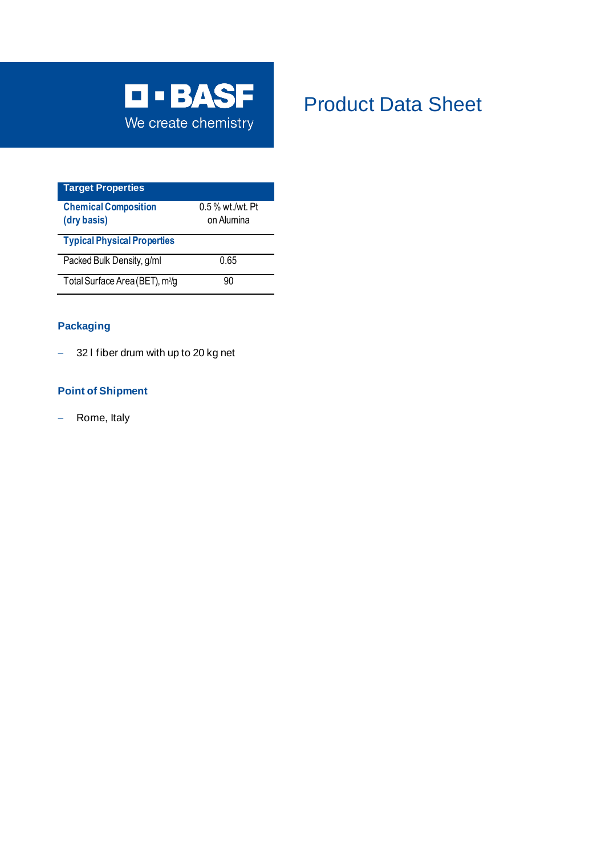

# Product Data Sheet

| <b>Target Properties</b>                   |                    |
|--------------------------------------------|--------------------|
| <b>Chemical Composition</b>                | $0.5\%$ wt./wt. Pt |
| (dry basis)                                | on Alumina         |
| <b>Typical Physical Properties</b>         |                    |
| Packed Bulk Density, g/ml                  | 0.65               |
| Total Surface Area (BET), m <sup>2/g</sup> | 90                 |

# **Packaging**

− 32 l fiber drum with up to 20 kg net

# **Point of Shipment**

− Rome, Italy